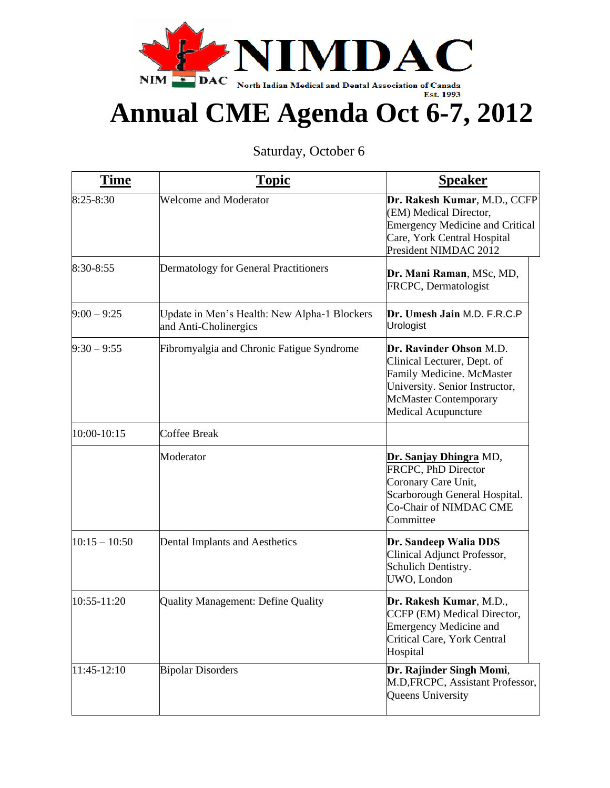

## NIM **E** DAC North Indian Medical and Dental Association of Canada<br>Est. 1993<br>**Annual CME Agenda Oct 6-7, 2012**

Saturday, October 6

| Time            | <b>Topic</b>                                                          | <b>Speaker</b>                                                                                                                                                               |
|-----------------|-----------------------------------------------------------------------|------------------------------------------------------------------------------------------------------------------------------------------------------------------------------|
| 8:25-8:30       | <b>Welcome and Moderator</b>                                          | Dr. Rakesh Kumar, M.D., CCFP<br>(EM) Medical Director,<br><b>Emergency Medicine and Critical</b><br>Care, York Central Hospital<br>President NIMDAC 2012                     |
| 8:30-8:55       | Dermatology for General Practitioners                                 | Dr. Mani Raman, MSc, MD,<br>FRCPC, Dermatologist                                                                                                                             |
| $9:00 - 9:25$   | Update in Men's Health: New Alpha-1 Blockers<br>and Anti-Cholinergics | Dr. Umesh Jain M.D. F.R.C.P<br>Urologist                                                                                                                                     |
| $9:30 - 9:55$   | Fibromyalgia and Chronic Fatigue Syndrome                             | Dr. Ravinder Ohson M.D.<br>Clinical Lecturer, Dept. of<br>Family Medicine. McMaster<br>University. Senior Instructor,<br><b>McMaster Contemporary</b><br>Medical Acupuncture |
| 10:00-10:15     | <b>Coffee Break</b>                                                   |                                                                                                                                                                              |
|                 | Moderator                                                             | Dr. Sanjay Dhingra MD,<br>FRCPC, PhD Director<br>Coronary Care Unit,<br>Scarborough General Hospital.<br>Co-Chair of NIMDAC CME<br>Committee                                 |
| $10:15 - 10:50$ | Dental Implants and Aesthetics                                        | Dr. Sandeep Walia DDS<br>Clinical Adjunct Professor,<br>Schulich Dentistry.<br>UWO, London                                                                                   |
| 10:55-11:20     | <b>Quality Management: Define Quality</b>                             | Dr. Rakesh Kumar, M.D.,<br>CCFP (EM) Medical Director,<br><b>Emergency Medicine and</b><br>Critical Care, York Central<br>Hospital                                           |
| 11:45-12:10     | <b>Bipolar Disorders</b>                                              | Dr. Rajinder Singh Momi,<br>M.D,FRCPC, Assistant Professor,<br>Queens University                                                                                             |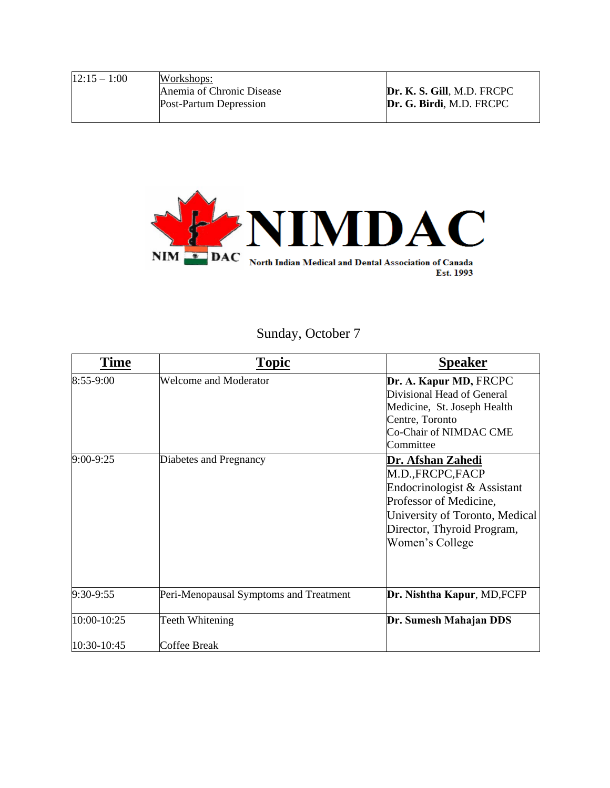| $12:15 - 1:00$ | Workshops:                |                                 |
|----------------|---------------------------|---------------------------------|
|                | Anemia of Chronic Disease | Dr. K. S. Gill, M.D. FRCPC      |
|                | Post-Partum Depression    | <b>Dr. G. Birdi, M.D. FRCPC</b> |
|                |                           |                                 |



## Sunday, October 7

| <b>Time</b> | Topic                                  | <b>Speaker</b>                                                                                                                                                                   |
|-------------|----------------------------------------|----------------------------------------------------------------------------------------------------------------------------------------------------------------------------------|
| 8:55-9:00   | Welcome and Moderator                  | Dr. A. Kapur MD, FRCPC<br>Divisional Head of General<br>Medicine, St. Joseph Health<br>Centre, Toronto<br>Co-Chair of NIMDAC CME<br>Committee                                    |
| 9:00-9:25   | Diabetes and Pregnancy                 | Dr. Afshan Zahedi<br>M.D.,FRCPC,FACP<br>Endocrinologist & Assistant<br>Professor of Medicine,<br>University of Toronto, Medical<br>Director, Thyroid Program,<br>Women's College |
| 9:30-9:55   | Peri-Menopausal Symptoms and Treatment | Dr. Nishtha Kapur, MD, FCFP                                                                                                                                                      |
| 10:00-10:25 | Teeth Whitening                        | Dr. Sumesh Mahajan DDS                                                                                                                                                           |
| 10:30-10:45 | Coffee Break                           |                                                                                                                                                                                  |